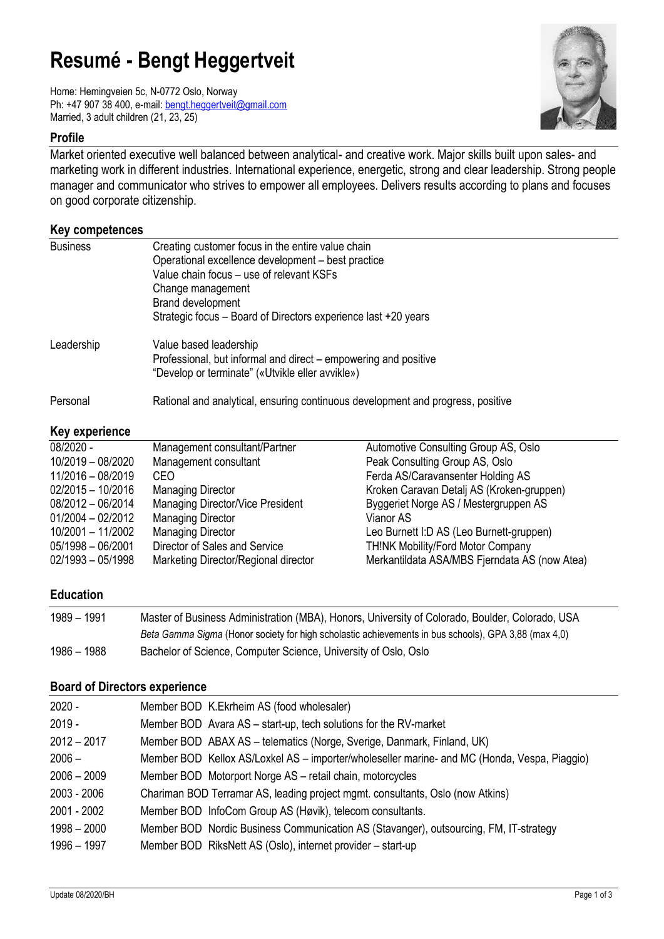# **Resumé - Bengt Heggertveit**

Home: Hemingveien 5c, N-0772 Oslo, Norway Ph: +47 907 38 400, e-mail: [bengt.heggertveit@gmail.com](mailto:bengt.heggertveit@gmail.com) Married, 3 adult children (21, 23, 25)

## **Profile**

Market oriented executive well balanced between analytical- and creative work. Major skills built upon sales- and marketing work in different industries. International experience, energetic, strong and clear leadership. Strong people manager and communicator who strives to empower all employees. Delivers results according to plans and focuses on good corporate citizenship.

| Key competences |                                                                                 |
|-----------------|---------------------------------------------------------------------------------|
| <b>Business</b> | Creating customer focus in the entire value chain                               |
|                 | Operational excellence development - best practice                              |
|                 | Value chain focus - use of relevant KSFs                                        |
|                 | Change management                                                               |
|                 | Brand development                                                               |
|                 | Strategic focus – Board of Directors experience last +20 years                  |
| Leadership      | Value based leadership                                                          |
|                 | Professional, but informal and direct - empowering and positive                 |
|                 | "Develop or terminate" («Utvikle eller avvikle»)                                |
| Personal        | Rational and analytical, ensuring continuous development and progress, positive |

# **Key experience**

| 08/2020 -           | Management consultant/Partner        | Automotive Consulting Group AS, Oslo          |
|---------------------|--------------------------------------|-----------------------------------------------|
| 10/2019 - 08/2020   | Management consultant                | Peak Consulting Group AS, Oslo                |
| 11/2016 - 08/2019   | CEO.                                 | Ferda AS/Caravansenter Holding AS             |
| $02/2015 - 10/2016$ | <b>Managing Director</b>             | Kroken Caravan Detalj AS (Kroken-gruppen)     |
| 08/2012 - 06/2014   | Managing Director/Vice President     | Byggeriet Norge AS / Mestergruppen AS         |
| $01/2004 - 02/2012$ | <b>Managing Director</b>             | Vianor AS                                     |
| 10/2001 - 11/2002   | <b>Managing Director</b>             | Leo Burnett I:D AS (Leo Burnett-gruppen)      |
| $05/1998 - 06/2001$ | Director of Sales and Service        | <b>TH!NK Mobility/Ford Motor Company</b>      |
| $02/1993 - 05/1998$ | Marketing Director/Regional director | Merkantildata ASA/MBS Fjerndata AS (now Atea) |
|                     |                                      |                                               |

## **Education**

| 1989 – 1991 | Master of Business Administration (MBA), Honors, University of Colorado, Boulder, Colorado, USA      |
|-------------|------------------------------------------------------------------------------------------------------|
|             | Beta Gamma Sigma (Honor society for high scholastic achievements in bus schools), GPA 3,88 (max 4,0) |
| 1986 – 1988 | Bachelor of Science, Computer Science, University of Oslo, Oslo                                      |

## **Board of Directors experience**

| $2020 -$      | Member BOD K.Ekrheim AS (food wholesaler)                                                    |
|---------------|----------------------------------------------------------------------------------------------|
| $2019 -$      | Member BOD Avara AS - start-up, tech solutions for the RV-market                             |
| $2012 - 2017$ | Member BOD ABAX AS - telematics (Norge, Sverige, Danmark, Finland, UK)                       |
| $2006 -$      | Member BOD Kellox AS/Loxkel AS – importer/wholeseller marine- and MC (Honda, Vespa, Piaggio) |
| $2006 - 2009$ | Member BOD Motorport Norge AS - retail chain, motorcycles                                    |
| 2003 - 2006   | Chariman BOD Terramar AS, leading project mgmt. consultants, Oslo (now Atkins)               |
| 2001 - 2002   | Member BOD InfoCom Group AS (Høvik), telecom consultants.                                    |
| $1998 - 2000$ | Member BOD Nordic Business Communication AS (Stavanger), outsourcing, FM, IT-strategy        |
| 1996 - 1997   | Member BOD RiksNett AS (Oslo), internet provider - start-up                                  |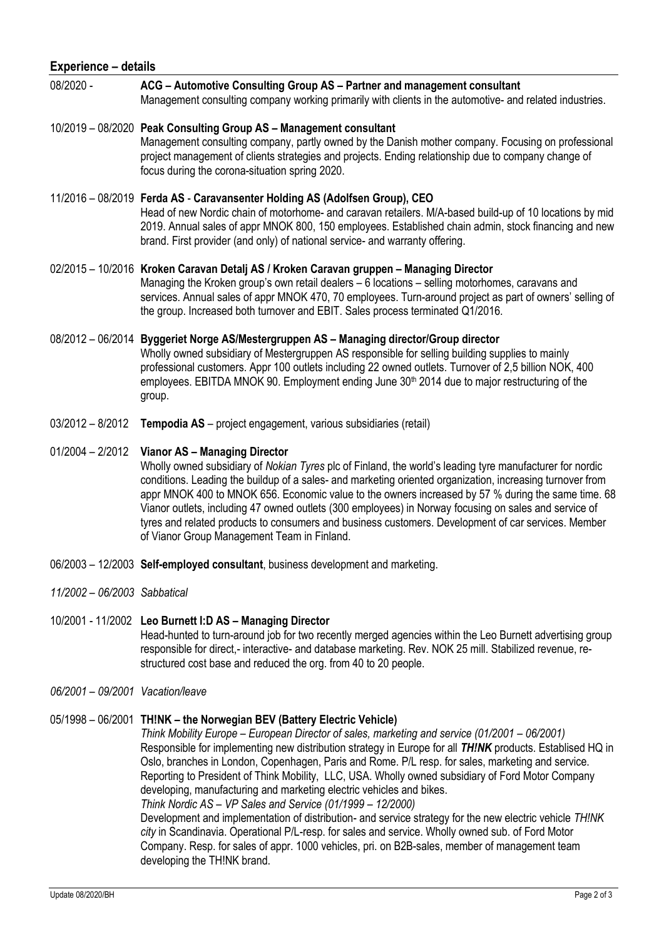| <b>Experience - details</b>  |                                                                                                                                                                                                                                                                                                                                                                                                                                                                                                                                                                                                                                    |  |
|------------------------------|------------------------------------------------------------------------------------------------------------------------------------------------------------------------------------------------------------------------------------------------------------------------------------------------------------------------------------------------------------------------------------------------------------------------------------------------------------------------------------------------------------------------------------------------------------------------------------------------------------------------------------|--|
| 08/2020 -                    | ACG - Automotive Consulting Group AS - Partner and management consultant<br>Management consulting company working primarily with clients in the automotive- and related industries.                                                                                                                                                                                                                                                                                                                                                                                                                                                |  |
|                              | 10/2019 - 08/2020 Peak Consulting Group AS - Management consultant<br>Management consulting company, partly owned by the Danish mother company. Focusing on professional<br>project management of clients strategies and projects. Ending relationship due to company change of<br>focus during the corona-situation spring 2020.                                                                                                                                                                                                                                                                                                  |  |
|                              | 11/2016 - 08/2019 Ferda AS - Caravansenter Holding AS (Adolfsen Group), CEO<br>Head of new Nordic chain of motorhome- and caravan retailers. M/A-based build-up of 10 locations by mid<br>2019. Annual sales of appr MNOK 800, 150 employees. Established chain admin, stock financing and new<br>brand. First provider (and only) of national service- and warranty offering.                                                                                                                                                                                                                                                     |  |
|                              | 02/2015 - 10/2016 Kroken Caravan Detalj AS / Kroken Caravan gruppen - Managing Director<br>Managing the Kroken group's own retail dealers - 6 locations - selling motorhomes, caravans and<br>services. Annual sales of appr MNOK 470, 70 employees. Turn-around project as part of owners' selling of<br>the group. Increased both turnover and EBIT. Sales process terminated Q1/2016.                                                                                                                                                                                                                                           |  |
|                              | 08/2012 - 06/2014 Byggeriet Norge AS/Mestergruppen AS - Managing director/Group director<br>Wholly owned subsidiary of Mestergruppen AS responsible for selling building supplies to mainly<br>professional customers. Appr 100 outlets including 22 owned outlets. Turnover of 2,5 billion NOK, 400<br>employees. EBITDA MNOK 90. Employment ending June 30 <sup>th</sup> 2014 due to major restructuring of the<br>group.                                                                                                                                                                                                        |  |
| $03/2012 - 8/2012$           | Tempodia AS - project engagement, various subsidiaries (retail)                                                                                                                                                                                                                                                                                                                                                                                                                                                                                                                                                                    |  |
| $01/2004 - 2/2012$           | <b>Vianor AS - Managing Director</b><br>Wholly owned subsidiary of Nokian Tyres plc of Finland, the world's leading tyre manufacturer for nordic<br>conditions. Leading the buildup of a sales- and marketing oriented organization, increasing turnover from<br>appr MNOK 400 to MNOK 656. Economic value to the owners increased by 57 % during the same time. 68<br>Vianor outlets, including 47 owned outlets (300 employees) in Norway focusing on sales and service of<br>tyres and related products to consumers and business customers. Development of car services. Member<br>of Vianor Group Management Team in Finland. |  |
|                              | 06/2003 - 12/2003 Self-employed consultant, business development and marketing.                                                                                                                                                                                                                                                                                                                                                                                                                                                                                                                                                    |  |
| 11/2002 - 06/2003 Sabbatical |                                                                                                                                                                                                                                                                                                                                                                                                                                                                                                                                                                                                                                    |  |
|                              | 10/2001 - 11/2002 Leo Burnett I:D AS - Managing Director<br>Head-hunted to turn-around job for two recently merged agencies within the Leo Burnett advertising group<br>responsible for direct,- interactive- and database marketing. Rev. NOK 25 mill. Stabilized revenue, re-<br>structured cost base and reduced the org. from 40 to 20 people.                                                                                                                                                                                                                                                                                 |  |

*06/2001 – 09/2001 Vacation/leave*

# 05/1998 – 06/2001 **TH!NK – the Norwegian BEV (Battery Electric Vehicle)**

*Think Mobility Europe – European Director of sales, marketing and service (01/2001 – 06/2001)* Responsible for implementing new distribution strategy in Europe for all *TH!NK* products. Establised HQ in Oslo, branches in London, Copenhagen, Paris and Rome. P/L resp. for sales, marketing and service. Reporting to President of Think Mobility, LLC, USA. Wholly owned subsidiary of Ford Motor Company developing, manufacturing and marketing electric vehicles and bikes.

*Think Nordic AS – VP Sales and Service (01/1999 – 12/2000)* Development and implementation of distribution- and service strategy for the new electric vehicle *TH!NK* 

*city* in Scandinavia. Operational P/L-resp. for sales and service. Wholly owned sub. of Ford Motor Company. Resp. for sales of appr. 1000 vehicles, pri. on B2B-sales, member of management team developing the TH!NK brand.